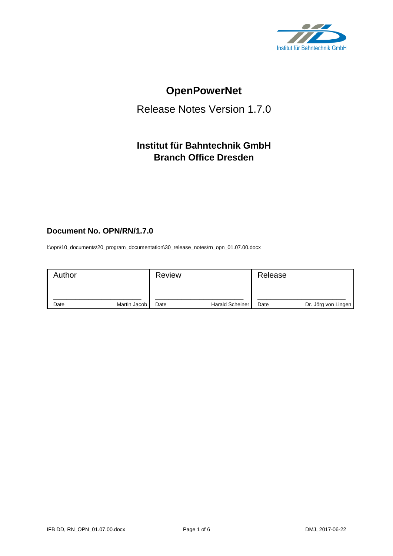

# **OpenPowerNet**

# Release Notes Version 1.7.0

# **Institut für Bahntechnik GmbH Branch Office Dresden**

# **Document No. OPN/RN/1.7.0**

l:\opn\10\_documents\20\_program\_documentation\30\_release\_notes\rn\_opn\_01.07.00.docx

| Author |              | <b>Review</b> |                        | Release |                     |
|--------|--------------|---------------|------------------------|---------|---------------------|
| Date   | Martin Jacob | Date          | <b>Harald Scheiner</b> | Date    | Dr. Jörg von Lingen |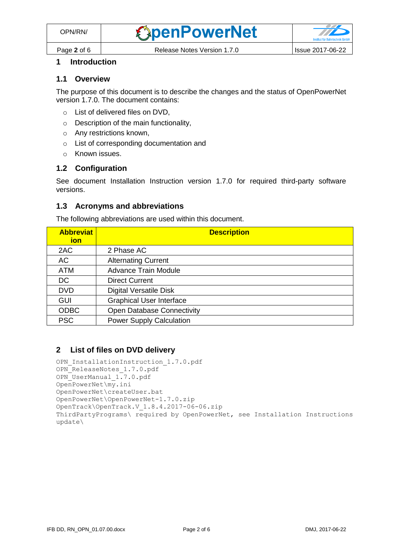

# **1 Introduction**

#### **1.1 Overview**

The purpose of this document is to describe the changes and the status of OpenPowerNet version 1.7.0. The document contains:

- o List of delivered files on DVD,
- o Description of the main functionality,
- o Any restrictions known,
- o List of corresponding documentation and
- o Known issues.

## **1.2 Configuration**

See document Installation Instruction version 1.7.0 for required third-party software versions.

#### **1.3 Acronyms and abbreviations**

The following abbreviations are used within this document.

| <b>Abbreviat</b><br>ion | <b>Description</b>                |
|-------------------------|-----------------------------------|
| 2AC                     | 2 Phase AC                        |
| AC                      | <b>Alternating Current</b>        |
| <b>ATM</b>              | <b>Advance Train Module</b>       |
| <b>DC</b>               | <b>Direct Current</b>             |
| <b>DVD</b>              | <b>Digital Versatile Disk</b>     |
| GUI                     | <b>Graphical User Interface</b>   |
| <b>ODBC</b>             | <b>Open Database Connectivity</b> |
| <b>PSC</b>              | <b>Power Supply Calculation</b>   |

## **2 List of files on DVD delivery**

```
OPN InstallationInstruction 1.7.0.pdf
OPN_ReleaseNotes_1.7.0.pdf
OPN_UserManual_1.7.0.pdf
OpenPowerNet\my.ini
OpenPowerNet\createUser.bat
OpenPowerNet\OpenPowerNet-1.7.0.zip
OpenTrack\OpenTrack.V_1.8.4.2017-06-06.zip
ThirdPartyPrograms\ required by OpenPowerNet, see Installation Instructions
update\
```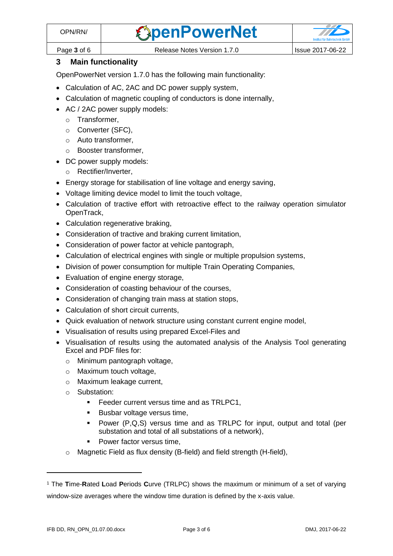

Page **3** of 6 Release Notes Version 1.7.0 Issue 2017-06-22

# **3 Main functionality**

OpenPowerNet version 1.7.0 has the following main functionality:

- Calculation of AC, 2AC and DC power supply system,
- Calculation of magnetic coupling of conductors is done internally,
- AC / 2AC power supply models:
	- o Transformer,
	- o Converter (SFC),
	- o Auto transformer,
	- o Booster transformer,
- DC power supply models:
	- o Rectifier/Inverter,
- Energy storage for stabilisation of line voltage and energy saving,
- Voltage limiting device model to limit the touch voltage,
- Calculation of tractive effort with retroactive effect to the railway operation simulator OpenTrack,
- Calculation regenerative braking,
- Consideration of tractive and braking current limitation,
- Consideration of power factor at vehicle pantograph,
- Calculation of electrical engines with single or multiple propulsion systems,
- Division of power consumption for multiple Train Operating Companies,
- Evaluation of engine energy storage,
- Consideration of coasting behaviour of the courses,
- Consideration of changing train mass at station stops,
- Calculation of short circuit currents,
- Quick evaluation of network structure using constant current engine model,
- Visualisation of results using prepared Excel-Files and
- <span id="page-2-0"></span>• Visualisation of results using the automated analysis of the Analysis Tool generating Excel and PDF files for:
	- o Minimum pantograph voltage,
	- o Maximum touch voltage,
	- o Maximum leakage current,
	- o Substation:
		- Feeder current versus time and as TRLPC1,
		- Busbar voltage versus time,
		- Power (P,Q,S) versus time and as TRLPC for input, output and total (per substation and total of all substations of a network),
		- Power factor versus time,
	- o Magnetic Field as flux density (B-field) and field strength (H-field),

<sup>1</sup> The **T**ime-**R**ated **L**oad **P**eriods **C**urve (TRLPC) shows the maximum or minimum of a set of varying window-size averages where the window time duration is defined by the x-axis value.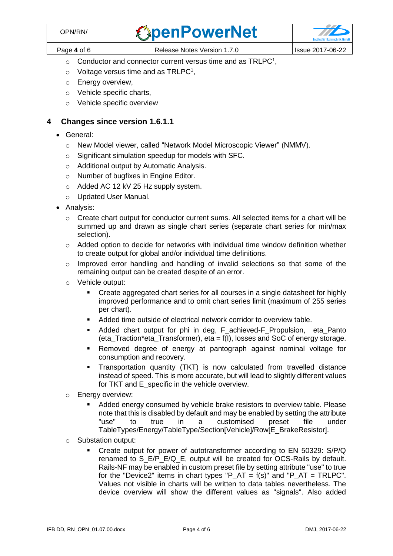| <b>DPN/RN/</b> | <b><i><u>SpenPowerNet</u></i></b> |                  |
|----------------|-----------------------------------|------------------|
| Page 4 of 6    | Release Notes Version 1.7.0       | Issue 2017-06-22 |

- $\circ$  [C](#page-2-0)onductor and connector current versus time and as TRLPC<sup>1</sup>,
	- $\circ$  Voltage versus time and as TRLPC<sup>[1](#page-2-0)</sup>,
	- o Energy overview,
	- o Vehicle specific charts,
	- o Vehicle specific overview

# **4 Changes since version 1.6.1.1**

- General:
	- o New Model viewer, called "Network Model Microscopic Viewer" (NMMV).
	- o Significant simulation speedup for models with SFC.
	- o Additional output by Automatic Analysis.
	- o Number of bugfixes in Engine Editor.
	- o Added AC 12 kV 25 Hz supply system.
	- o Updated User Manual.
- Analysis:
	- $\circ$  Create chart output for conductor current sums. All selected items for a chart will be summed up and drawn as single chart series (separate chart series for min/max selection).
	- $\circ$  Added option to decide for networks with individual time window definition whether to create output for global and/or individual time definitions.
	- $\circ$  Improved error handling and handling of invalid selections so that some of the remaining output can be created despite of an error.
	- o Vehicle output:
		- Create aggregated chart series for all courses in a single datasheet for highly improved performance and to omit chart series limit (maximum of 255 series per chart).
		- Added time outside of electrical network corridor to overview table.
		- Added chart output for phi in deg, F achieved-F Propulsion, eta Panto (eta\_Traction\*eta\_Transformer), eta = f(I), losses and SoC of energy storage.
		- Removed degree of energy at pantograph against nominal voltage for consumption and recovery.
		- Transportation quantity (TKT) is now calculated from travelled distance instead of speed. This is more accurate, but will lead to slightly different values for TKT and E\_specific in the vehicle overview.
	- o Energy overview:
		- Added energy consumed by vehicle brake resistors to overview table. Please note that this is disabled by default and may be enabled by setting the attribute "use" to true in a customised preset file under TableTypes/Energy/TableType/Section[Vehicle]/Row[E\_BrakeResistor].
	- o Substation output:
		- Create output for power of autotransformer according to EN 50329: S/P/Q renamed to S\_E/P\_E/Q\_E, output will be created for OCS-Rails by default. Rails-NF may be enabled in custom preset file by setting attribute "use" to true for the "Device2" items in chart types "P\_AT =  $f(s)$ " and "P\_AT = TRLPC". Values not visible in charts will be written to data tables nevertheless. The device overview will show the different values as "signals". Also added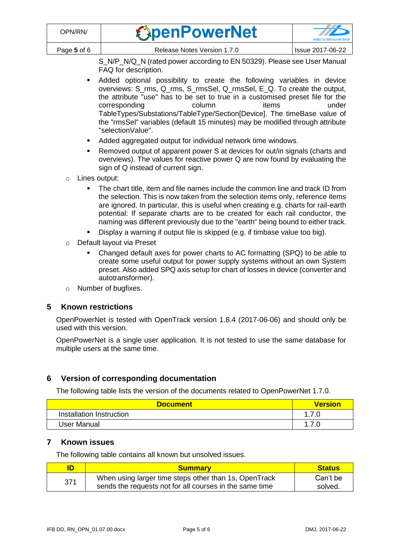| OPN/RN/     | <b><i><u>ExpenPowerNet</u></i></b> | $\overline{U}$<br>Institut für Bahntechnik GmbH |
|-------------|------------------------------------|-------------------------------------------------|
| Page 5 of 6 | Release Notes Version 1.7.0        | Issue 2017-06-22                                |

S\_N/P\_N/Q\_N (rated power according to EN 50329). Please see User Manual FAQ for description.

- Added optional possibility to create the following variables in device overviews: S\_rms, Q\_rms, S\_rmsSel, Q\_rmsSel, E\_Q. To create the output, the attribute "use" has to be set to true in a customised preset file for the corresponding a column column items under TableTypes/Substations/TableType/Section[Device]. The timeBase value of the "rmsSel" variables (default 15 minutes) may be modified through attribute "selectionValue".
- Added aggregated output for individual network time windows.
- Removed output of apparent power S at devices for out/in signals (charts and overviews). The values for reactive power Q are now found by evaluating the sign of Q instead of current sign.
- o Lines output:
	- The chart title, item and file names include the common line and track ID from the selection. This is now taken from the selection items only, reference items are ignored. In particular, this is useful when creating e.g. charts for rail-earth potential: If separate charts are to be created for each rail conductor, the naming was different previously due to the "earth" being bound to either track.
	- Display a warning if output file is skipped (e.g. if timbase value too big).
- o Default layout via Preset
	- Changed default axes for power charts to AC formatting (SPQ) to be able to create some useful output for power supply systems without an own System preset. Also added SPQ axis setup for chart of losses in device (converter and autotransformer).
- o Number of bugfixes.

## **5 Known restrictions**

OpenPowerNet is tested with OpenTrack version 1.8.4 (2017-06-06) and should only be used with this version.

OpenPowerNet is a single user application. It is not tested to use the same database for multiple users at the same time.

## **6 Version of corresponding documentation**

The following table lists the version of the documents related to OpenPowerNet 1.7.0.

| <b>Document</b>          | <b>Version</b> |
|--------------------------|----------------|
| Installation Instruction |                |
| User Manual              |                |

## **7 Known issues**

The following table contains all known but unsolved issues.

|     | <b>Summary</b>                                                                                                   | <b>Status</b>       |
|-----|------------------------------------------------------------------------------------------------------------------|---------------------|
| 371 | When using larger time steps other than 1s, OpenTrack<br>sends the requests not for all courses in the same time | Can't be<br>solved. |